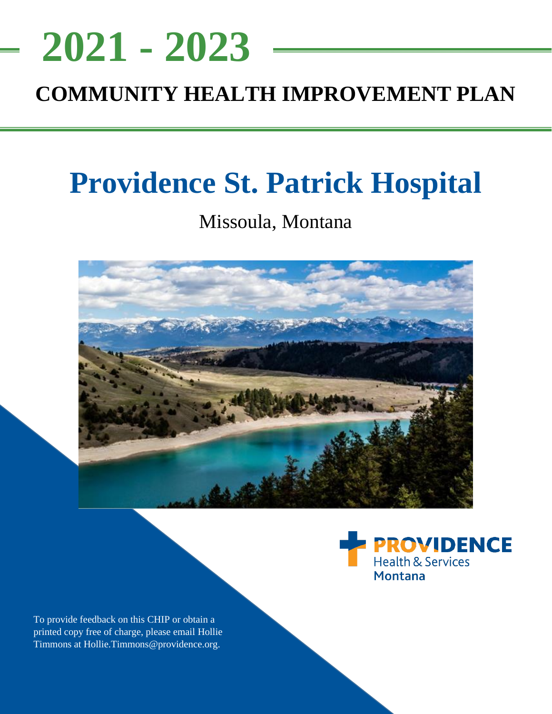## <u>NEEDS ASSESSMENT ASSESSMENT ASSESS</u> **COMMUNITY HEALTH IMPROVEMENT PLAN 2021 - 2023**

# **Providence St. Patrick Hospital**

## Missoula, Montana





To provide feedback on this CHIP or obtain a printed copy free of charge, please email Hollie Timmons at Hollie.Timmons@providence.org.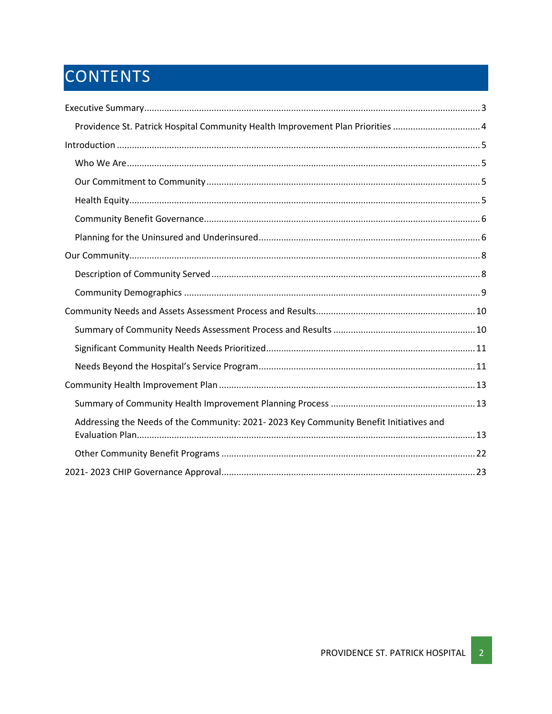## CONTENTS

| Providence St. Patrick Hospital Community Health Improvement Plan Priorities 4         |  |
|----------------------------------------------------------------------------------------|--|
|                                                                                        |  |
|                                                                                        |  |
|                                                                                        |  |
|                                                                                        |  |
|                                                                                        |  |
|                                                                                        |  |
|                                                                                        |  |
|                                                                                        |  |
|                                                                                        |  |
|                                                                                        |  |
|                                                                                        |  |
|                                                                                        |  |
|                                                                                        |  |
|                                                                                        |  |
|                                                                                        |  |
| Addressing the Needs of the Community: 2021-2023 Key Community Benefit Initiatives and |  |
|                                                                                        |  |
|                                                                                        |  |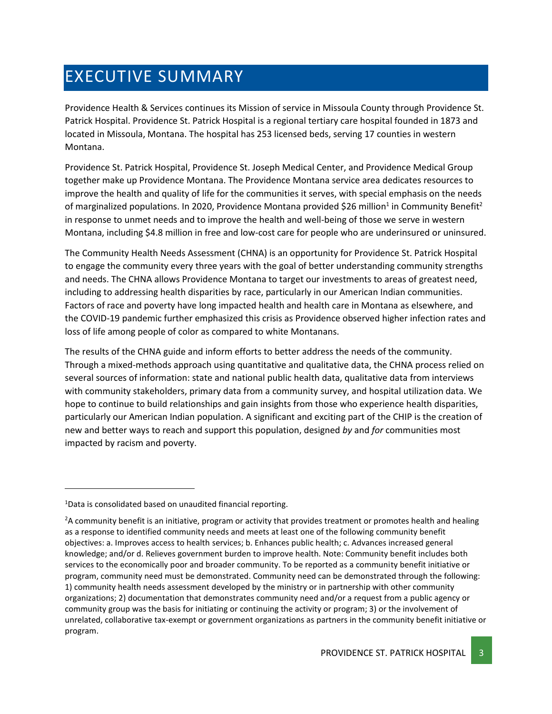## <span id="page-2-0"></span>EXECUTIVE SUMMARY

Providence Health & Services continues its Mission of service in Missoula County through Providence St. Patrick Hospital. Providence St. Patrick Hospital is a regional tertiary care hospital founded in 1873 and located in Missoula, Montana. The hospital has 253 licensed beds, serving 17 counties in western Montana.

Providence St. Patrick Hospital, Providence St. Joseph Medical Center, and Providence Medical Group together make up Providence Montana. The Providence Montana service area dedicates resources to improve the health and quality of life for the communities it serves, with special emphasis on the needs of marginalized populations. In 2020, Providence Montana provided \$26 million<sup>1</sup> in Community Benefit<sup>2</sup> in response to unmet needs and to improve the health and well-being of those we serve in western Montana, including \$4.8 million in free and low-cost care for people who are underinsured or uninsured.

The Community Health Needs Assessment (CHNA) is an opportunity for Providence St. Patrick Hospital to engage the community every three years with the goal of better understanding community strengths and needs. The CHNA allows Providence Montana to target our investments to areas of greatest need, including to addressing health disparities by race, particularly in our American Indian communities. Factors of race and poverty have long impacted health and health care in Montana as elsewhere, and the COVID-19 pandemic further emphasized this crisis as Providence observed higher infection rates and loss of life among people of color as compared to white Montanans.

The results of the CHNA guide and inform efforts to better address the needs of the community. Through a mixed-methods approach using quantitative and qualitative data, the CHNA process relied on several sources of information: state and national public health data, qualitative data from interviews with community stakeholders, primary data from a community survey, and hospital utilization data. We hope to continue to build relationships and gain insights from those who experience health disparities, particularly our American Indian population. A significant and exciting part of the CHIP is the creation of new and better ways to reach and support this population, designed *by* and *for* communities most impacted by racism and poverty.

 $1$ Data is consolidated based on unaudited financial reporting.

<sup>&</sup>lt;sup>2</sup>A community benefit is an initiative, program or activity that provides treatment or promotes health and healing as a response to identified community needs and meets at least one of the following community benefit objectives: a. Improves access to health services; b. Enhances public health; c. Advances increased general knowledge; and/or d. Relieves government burden to improve health. Note: Community benefit includes both services to the economically poor and broader community. To be reported as a community benefit initiative or program, community need must be demonstrated. Community need can be demonstrated through the following: 1) community health needs assessment developed by the ministry or in partnership with other community organizations; 2) documentation that demonstrates community need and/or a request from a public agency or community group was the basis for initiating or continuing the activity or program; 3) or the involvement of unrelated, collaborative tax-exempt or government organizations as partners in the community benefit initiative or program.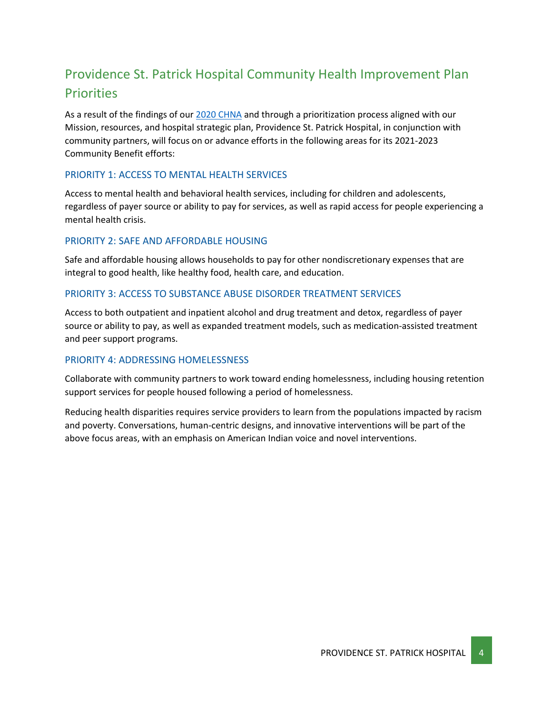## <span id="page-3-0"></span>Providence St. Patrick Hospital Community Health Improvement Plan **Priorities**

As a result of the findings of our [2020 CHNA](https://www.providence.org/about/annual-report/chna-and-chip-reports) and through a prioritization process aligned with our Mission, resources, and hospital strategic plan, Providence St. Patrick Hospital, in conjunction with community partners, will focus on or advance efforts in the following areas for its 2021-2023 Community Benefit efforts:

### PRIORITY 1: ACCESS TO MENTAL HEALTH SERVICES

Access to mental health and behavioral health services, including for children and adolescents, regardless of payer source or ability to pay for services, as well as rapid access for people experiencing a mental health crisis.

## PRIORITY 2: SAFE AND AFFORDABLE HOUSING

Safe and affordable housing allows households to pay for other nondiscretionary expenses that are integral to good health, like healthy food, health care, and education.

### PRIORITY 3: ACCESS TO SUBSTANCE ABUSE DISORDER TREATMENT SERVICES

Access to both outpatient and inpatient alcohol and drug treatment and detox, regardless of payer source or ability to pay, as well as expanded treatment models, such as medication-assisted treatment and peer support programs.

### PRIORITY 4: ADDRESSING HOMELESSNESS

Collaborate with community partners to work toward ending homelessness, including housing retention support services for people housed following a period of homelessness.

Reducing health disparities requires service providers to learn from the populations impacted by racism and poverty. Conversations, human-centric designs, and innovative interventions will be part of the above focus areas, with an emphasis on American Indian voice and novel interventions.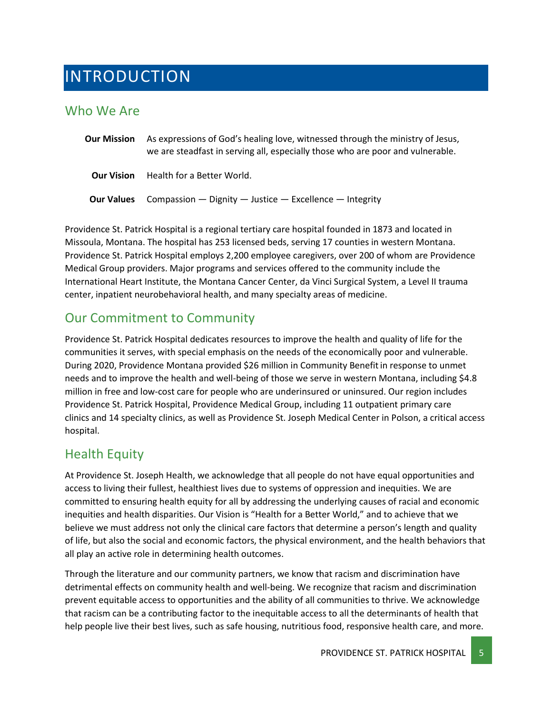## <span id="page-4-0"></span>INTRODUCTION

## <span id="page-4-1"></span>Who We Are

**Our Mission** As expressions of God's healing love, witnessed through the ministry of Jesus, we are steadfast in serving all, especially those who are poor and vulnerable. **Our Vision** Health for a Better World. **Our Values** Compassion — Dignity — Justice — Excellence — Integrity

Providence St. Patrick Hospital is a regional tertiary care hospital founded in 1873 and located in Missoula, Montana. The hospital has 253 licensed beds, serving 17 counties in western Montana. Providence St. Patrick Hospital employs 2,200 employee caregivers, over 200 of whom are Providence Medical Group providers. Major programs and services offered to the community include the International Heart Institute, the Montana Cancer Center, da Vinci Surgical System, a Level II trauma center, inpatient neurobehavioral health, and many specialty areas of medicine.

## <span id="page-4-2"></span>Our Commitment to Community

Providence St. Patrick Hospital dedicates resources to improve the health and quality of life for the communities it serves, with special emphasis on the needs of the economically poor and vulnerable. During 2020, Providence Montana provided \$26 million in Community Benefitin response to unmet needs and to improve the health and well-being of those we serve in western Montana, including \$4.8 million in free and low-cost care for people who are underinsured or uninsured. Our region includes Providence St. Patrick Hospital, Providence Medical Group, including 11 outpatient primary care clinics and 14 specialty clinics, as well as Providence St. Joseph Medical Center in Polson, a critical access hospital.

## <span id="page-4-3"></span>Health Equity

At Providence St. Joseph Health, we acknowledge that all people do not have equal opportunities and access to living their fullest, healthiest lives due to systems of oppression and inequities. We are committed to ensuring health equity for all by addressing the underlying causes of racial and economic inequities and health disparities. Our Vision is "Health for a Better World," and to achieve that we believe we must address not only the clinical care factors that determine a person's length and quality of life, but also the social and economic factors, the physical environment, and the health behaviors that all play an active role in determining health outcomes.

Through the literature and our community partners, we know that racism and discrimination have detrimental effects on community health and well-being. We recognize that racism and discrimination prevent equitable access to opportunities and the ability of all communities to thrive. We acknowledge that racism can be a contributing factor to the inequitable access to all the determinants of health that help people live their best lives, such as safe housing, nutritious food, responsive health care, and more.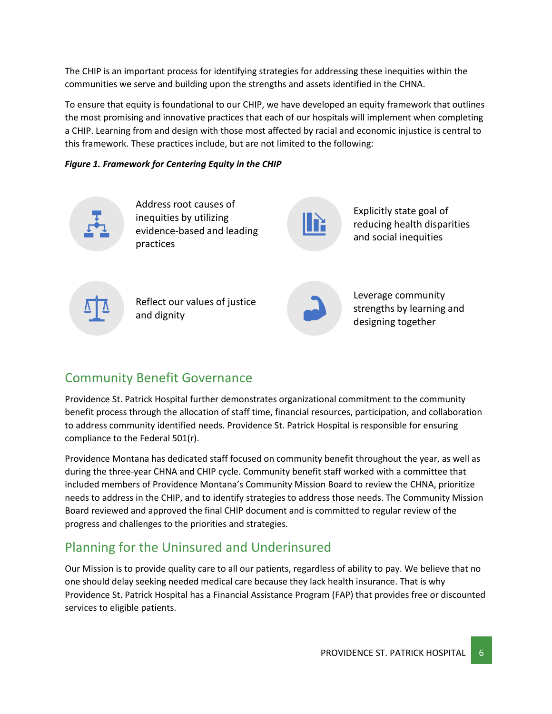The CHIP is an important process for identifying strategies for addressing these inequities within the communities we serve and building upon the strengths and assets identified in the CHNA.

To ensure that equity is foundational to our CHIP, we have developed an equity framework that outlines the most promising and innovative practices that each of our hospitals will implement when completing a CHIP. Learning from and design with those most affected by racial and economic injustice is central to this framework. These practices include, but are not limited to the following:

## *Figure 1. Framework for Centering Equity in the CHIP*



Address root causes of inequities by utilizing evidence-based and leading practices

Explicitly state goal of reducing health disparities and social inequities



Reflect our values of justice and dignity



Leverage community strengths by learning and designing together

## <span id="page-5-0"></span>Community Benefit Governance

Providence St. Patrick Hospital further demonstrates organizational commitment to the community benefit process through the allocation of staff time, financial resources, participation, and collaboration to address community identified needs. Providence St. Patrick Hospital is responsible for ensuring compliance to the Federal 501(r).

Providence Montana has dedicated staff focused on community benefit throughout the year, as well as during the three-year CHNA and CHIP cycle. Community benefit staff worked with a committee that included members of Providence Montana's Community Mission Board to review the CHNA, prioritize needs to address in the CHIP, and to identify strategies to address those needs. The Community Mission Board reviewed and approved the final CHIP document and is committed to regular review of the progress and challenges to the priorities and strategies.

## <span id="page-5-1"></span>Planning for the Uninsured and Underinsured

Our Mission is to provide quality care to all our patients, regardless of ability to pay. We believe that no one should delay seeking needed medical care because they lack health insurance. That is why Providence St. Patrick Hospital has a Financial Assistance Program (FAP) that provides free or discounted services to eligible patients.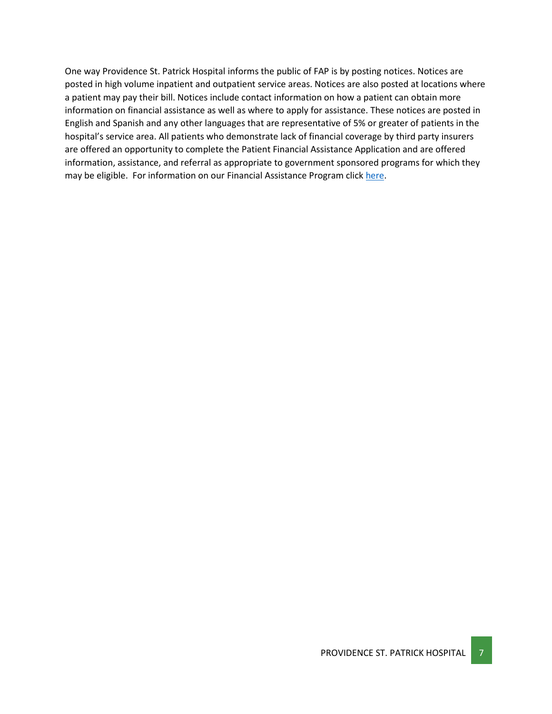One way Providence St. Patrick Hospital informs the public of FAP is by posting notices. Notices are posted in high volume inpatient and outpatient service areas. Notices are also posted at locations where a patient may pay their bill. Notices include contact information on how a patient can obtain more information on financial assistance as well as where to apply for assistance. These notices are posted in English and Spanish and any other languages that are representative of 5% or greater of patients in the hospital's service area. All patients who demonstrate lack of financial coverage by third party insurers are offered an opportunity to complete the Patient Financial Assistance Application and are offered information, assistance, and referral as appropriate to government sponsored programs for which they may be eligible. For information on our Financial Assistance Program clic[k here.](https://www.providence.org/obp/mt/financial-assistance-application)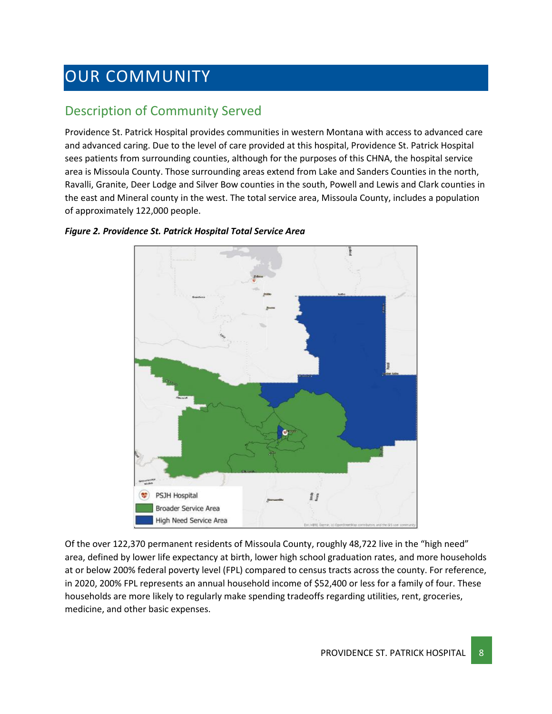## <span id="page-7-0"></span>OUR COMMUNITY

## <span id="page-7-1"></span>Description of Community Served

Providence St. Patrick Hospital provides communities in western Montana with access to advanced care and advanced caring. Due to the level of care provided at this hospital, Providence St. Patrick Hospital sees patients from surrounding counties, although for the purposes of this CHNA, the hospital service area is Missoula County. Those surrounding areas extend from Lake and Sanders Counties in the north, Ravalli, Granite, Deer Lodge and Silver Bow counties in the south, Powell and Lewis and Clark counties in the east and Mineral county in the west. The total service area, Missoula County, includes a population of approximately 122,000 people.



### *Figure 2. Providence St. Patrick Hospital Total Service Area*

Of the over 122,370 permanent residents of Missoula County, roughly 48,722 live in the "high need" area, defined by lower life expectancy at birth, lower high school graduation rates, and more households at or below 200% federal poverty level (FPL) compared to census tracts across the county. For reference, in 2020, 200% FPL represents an annual household income of \$52,400 or less for a family of four. These households are more likely to regularly make spending tradeoffs regarding utilities, rent, groceries, medicine, and other basic expenses.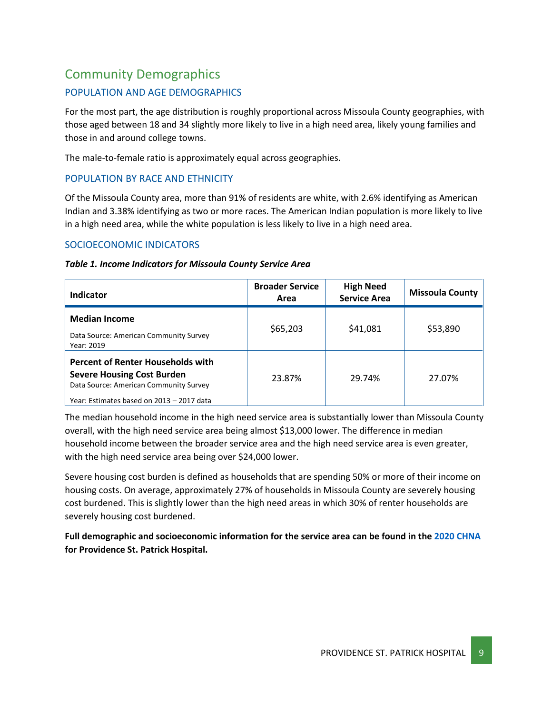## <span id="page-8-0"></span>Community Demographics

## POPULATION AND AGE DEMOGRAPHICS

For the most part, the age distribution is roughly proportional across Missoula County geographies, with those aged between 18 and 34 slightly more likely to live in a high need area, likely young families and those in and around college towns.

The male-to-female ratio is approximately equal across geographies.

## POPULATION BY RACE AND ETHNICITY

Of the Missoula County area, more than 91% of residents are white, with 2.6% identifying as American Indian and 3.38% identifying as two or more races. The American Indian population is more likely to live in a high need area, while the white population is less likely to live in a high need area.

## SOCIOECONOMIC INDICATORS

### *Table 1. Income Indicators for Missoula County Service Area*

| Indicator                                                                                                                                                            | <b>Broader Service</b><br>Area | <b>High Need</b><br><b>Service Area</b> | <b>Missoula County</b> |
|----------------------------------------------------------------------------------------------------------------------------------------------------------------------|--------------------------------|-----------------------------------------|------------------------|
| <b>Median Income</b><br>Data Source: American Community Survey<br>Year: 2019                                                                                         | \$65,203                       | \$41,081                                | \$53,890               |
| <b>Percent of Renter Households with</b><br><b>Severe Housing Cost Burden</b><br>Data Source: American Community Survey<br>Year: Estimates based on 2013 - 2017 data | 23.87%                         | 29.74%                                  | 27.07%                 |

The median household income in the high need service area is substantially lower than Missoula County overall, with the high need service area being almost \$13,000 lower. The difference in median household income between the broader service area and the high need service area is even greater, with the high need service area being over \$24,000 lower.

Severe housing cost burden is defined as households that are spending 50% or more of their income on housing costs. On average, approximately 27% of households in Missoula County are severely housing cost burdened. This is slightly lower than the high need areas in which 30% of renter households are severely housing cost burdened.

**Full demographic and socioeconomic information for the service area can be found in the [2020 CHNA](https://www.providence.org/about/annual-report/chna-and-chip-reports) for Providence St. Patrick Hospital.**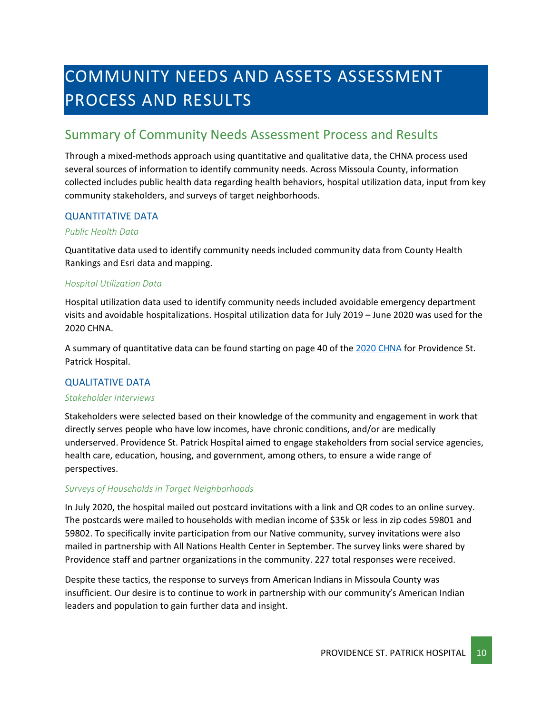## <span id="page-9-0"></span>COMMUNITY NEEDS AND ASSETS ASSESSMENT PROCESS AND RESULTS

## <span id="page-9-1"></span>Summary of Community Needs Assessment Process and Results

Through a mixed-methods approach using quantitative and qualitative data, the CHNA process used several sources of information to identify community needs. Across Missoula County, information collected includes public health data regarding health behaviors, hospital utilization data, input from key community stakeholders, and surveys of target neighborhoods.

## QUANTITATIVE DATA

### *Public Health Data*

Quantitative data used to identify community needs included community data from County Health Rankings and Esri data and mapping.

### *Hospital Utilization Data*

Hospital utilization data used to identify community needs included avoidable emergency department visits and avoidable hospitalizations. Hospital utilization data for July 2019 – June 2020 was used for the 2020 CHNA.

A summary of quantitative data can be found starting on page 40 of th[e 2020 CHNA](https://www.providence.org/about/annual-report/chna-and-chip-reports) for Providence St. Patrick Hospital.

## QUALITATIVE DATA

### *Stakeholder Interviews*

Stakeholders were selected based on their knowledge of the community and engagement in work that directly serves people who have low incomes, have chronic conditions, and/or are medically underserved. Providence St. Patrick Hospital aimed to engage stakeholders from social service agencies, health care, education, housing, and government, among others, to ensure a wide range of perspectives.

## *Surveys of Households in Target Neighborhoods*

In July 2020, the hospital mailed out postcard invitations with a link and QR codes to an online survey. The postcards were mailed to households with median income of \$35k or less in zip codes 59801 and 59802. To specifically invite participation from our Native community, survey invitations were also mailed in partnership with All Nations Health Center in September. The survey links were shared by Providence staff and partner organizations in the community. 227 total responses were received.

Despite these tactics, the response to surveys from American Indians in Missoula County was insufficient. Our desire is to continue to work in partnership with our community's American Indian leaders and population to gain further data and insight.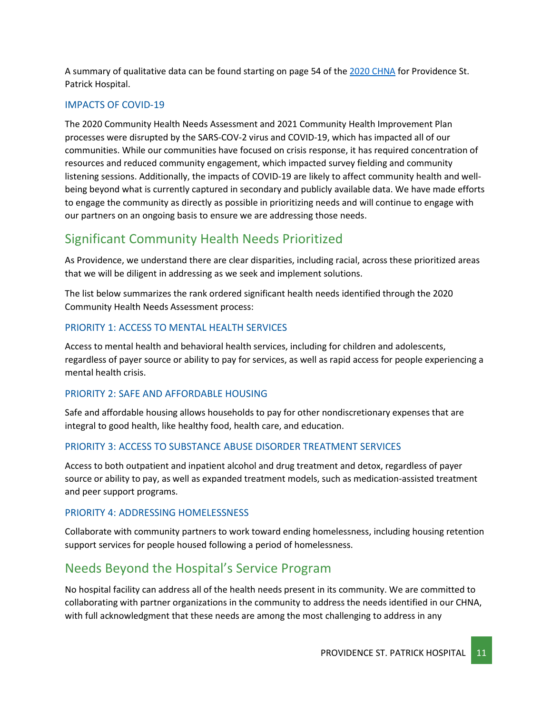A summary of qualitative data can be found starting on page 54 of the [2020 CHNA](https://www.providence.org/about/annual-report/chna-and-chip-reports) for Providence St. Patrick Hospital.

### IMPACTS OF COVID-19

The 2020 Community Health Needs Assessment and 2021 Community Health Improvement Plan processes were disrupted by the SARS-COV-2 virus and COVID-19, which has impacted all of our communities. While our communities have focused on crisis response, it has required concentration of resources and reduced community engagement, which impacted survey fielding and community listening sessions. Additionally, the impacts of COVID-19 are likely to affect community health and wellbeing beyond what is currently captured in secondary and publicly available data. We have made efforts to engage the community as directly as possible in prioritizing needs and will continue to engage with our partners on an ongoing basis to ensure we are addressing those needs.

## <span id="page-10-0"></span>Significant Community Health Needs Prioritized

As Providence, we understand there are clear disparities, including racial, across these prioritized areas that we will be diligent in addressing as we seek and implement solutions.

The list below summarizes the rank ordered significant health needs identified through the 2020 Community Health Needs Assessment process:

## PRIORITY 1: ACCESS TO MENTAL HEALTH SERVICES

Access to mental health and behavioral health services, including for children and adolescents, regardless of payer source or ability to pay for services, as well as rapid access for people experiencing a mental health crisis.

### PRIORITY 2: SAFE AND AFFORDABLE HOUSING

Safe and affordable housing allows households to pay for other nondiscretionary expenses that are integral to good health, like healthy food, health care, and education.

## PRIORITY 3: ACCESS TO SUBSTANCE ABUSE DISORDER TREATMENT SERVICES

Access to both outpatient and inpatient alcohol and drug treatment and detox, regardless of payer source or ability to pay, as well as expanded treatment models, such as medication-assisted treatment and peer support programs.

### PRIORITY 4: ADDRESSING HOMELESSNESS

Collaborate with community partners to work toward ending homelessness, including housing retention support services for people housed following a period of homelessness.

## <span id="page-10-1"></span>Needs Beyond the Hospital's Service Program

No hospital facility can address all of the health needs present in its community. We are committed to collaborating with partner organizations in the community to address the needs identified in our CHNA, with full acknowledgment that these needs are among the most challenging to address in any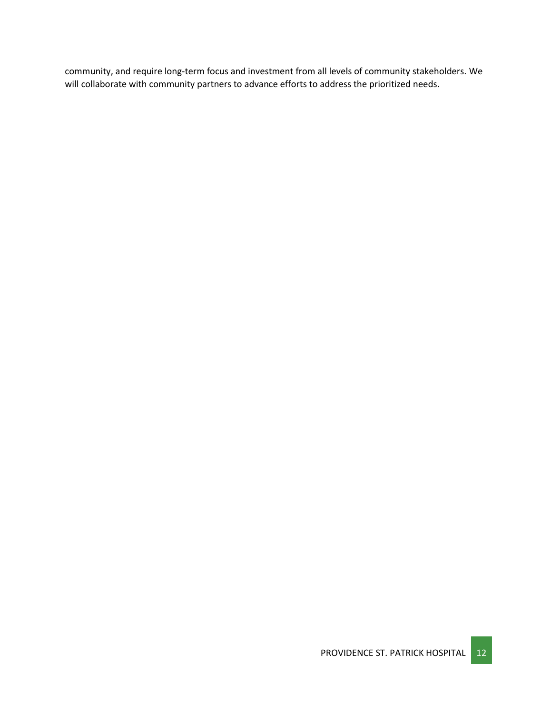community, and require long-term focus and investment from all levels of community stakeholders. We will collaborate with community partners to advance efforts to address the prioritized needs.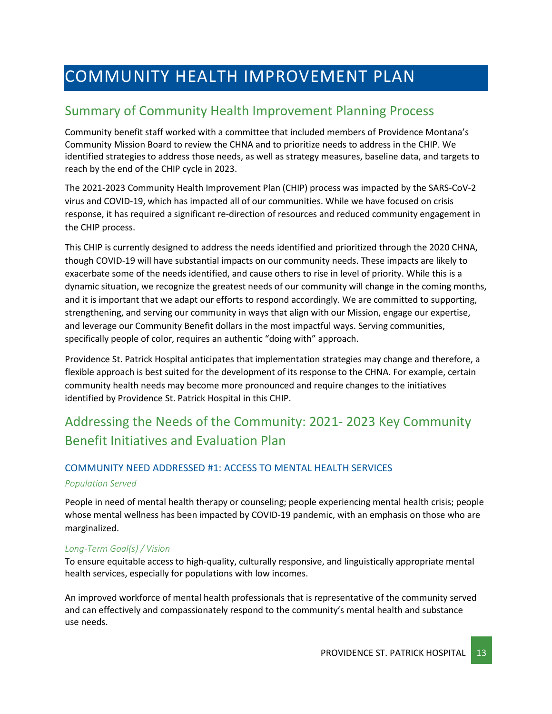## <span id="page-12-0"></span>COMMUNITY HEALTH IMPROVEMENT PLAN

## <span id="page-12-1"></span>Summary of Community Health Improvement Planning Process

Community benefit staff worked with a committee that included members of Providence Montana's Community Mission Board to review the CHNA and to prioritize needs to address in the CHIP. We identified strategies to address those needs, as well as strategy measures, baseline data, and targets to reach by the end of the CHIP cycle in 2023.

The 2021-2023 Community Health Improvement Plan (CHIP) process was impacted by the SARS-CoV-2 virus and COVID-19, which has impacted all of our communities. While we have focused on crisis response, it has required a significant re-direction of resources and reduced community engagement in the CHIP process.

This CHIP is currently designed to address the needs identified and prioritized through the 2020 CHNA, though COVID-19 will have substantial impacts on our community needs. These impacts are likely to exacerbate some of the needs identified, and cause others to rise in level of priority. While this is a dynamic situation, we recognize the greatest needs of our community will change in the coming months, and it is important that we adapt our efforts to respond accordingly. We are committed to supporting, strengthening, and serving our community in ways that align with our Mission, engage our expertise, and leverage our Community Benefit dollars in the most impactful ways. Serving communities, specifically people of color, requires an authentic "doing with" approach.

Providence St. Patrick Hospital anticipates that implementation strategies may change and therefore, a flexible approach is best suited for the development of its response to the CHNA. For example, certain community health needs may become more pronounced and require changes to the initiatives identified by Providence St. Patrick Hospital in this CHIP.

## <span id="page-12-2"></span>Addressing the Needs of the Community: 2021- 2023 Key Community Benefit Initiatives and Evaluation Plan

## COMMUNITY NEED ADDRESSED #1: ACCESS TO MENTAL HEALTH SERVICES *Population Served*

People in need of mental health therapy or counseling; people experiencing mental health crisis; people whose mental wellness has been impacted by COVID-19 pandemic, with an emphasis on those who are marginalized.

## *Long-Term Goal(s) / Vision*

To ensure equitable access to high-quality, culturally responsive, and linguistically appropriate mental health services, especially for populations with low incomes.

An improved workforce of mental health professionals that is representative of the community served and can effectively and compassionately respond to the community's mental health and substance use needs.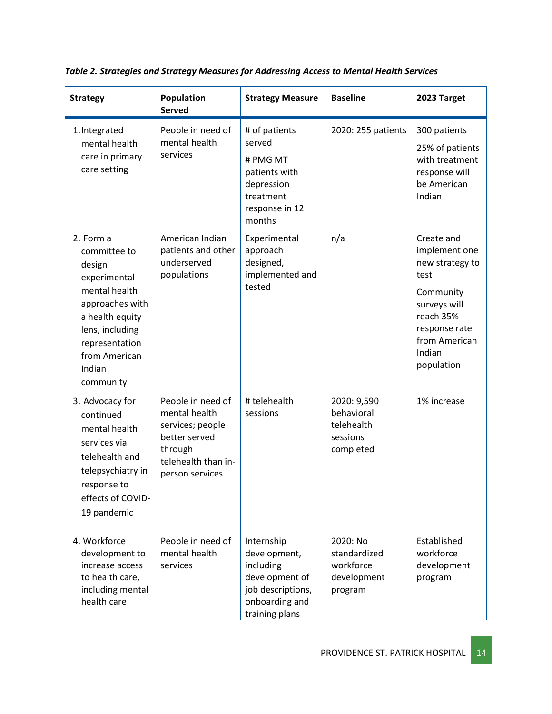| <b>Strategy</b>                                                                                                                                                                         | Population<br><b>Served</b>                                                                                                  | <b>Strategy Measure</b>                                                                                            | <b>Baseline</b>                                                  | 2023 Target                                                                                                                                                |
|-----------------------------------------------------------------------------------------------------------------------------------------------------------------------------------------|------------------------------------------------------------------------------------------------------------------------------|--------------------------------------------------------------------------------------------------------------------|------------------------------------------------------------------|------------------------------------------------------------------------------------------------------------------------------------------------------------|
| 1. Integrated<br>mental health<br>care in primary<br>care setting                                                                                                                       | People in need of<br>mental health<br>services                                                                               | # of patients<br>served<br># PMG MT<br>patients with<br>depression<br>treatment<br>response in 12<br>months        | 2020: 255 patients                                               | 300 patients<br>25% of patients<br>with treatment<br>response will<br>be American<br>Indian                                                                |
| 2. Form a<br>committee to<br>design<br>experimental<br>mental health<br>approaches with<br>a health equity<br>lens, including<br>representation<br>from American<br>Indian<br>community | American Indian<br>patients and other<br>underserved<br>populations                                                          | Experimental<br>approach<br>designed,<br>implemented and<br>tested                                                 | n/a                                                              | Create and<br>implement one<br>new strategy to<br>test<br>Community<br>surveys will<br>reach 35%<br>response rate<br>from American<br>Indian<br>population |
| 3. Advocacy for<br>continued<br>mental health<br>services via<br>telehealth and<br>telepsychiatry in<br>response to<br>effects of COVID-<br>19 pandemic                                 | People in need of<br>mental health<br>services; people<br>better served<br>through<br>telehealth than in-<br>person services | # telehealth<br>sessions                                                                                           | 2020: 9,590<br>behavioral<br>telehealth<br>sessions<br>completed | 1% increase                                                                                                                                                |
| 4. Workforce<br>development to<br>increase access<br>to health care,<br>including mental<br>health care                                                                                 | People in need of<br>mental health<br>services                                                                               | Internship<br>development,<br>including<br>development of<br>job descriptions,<br>onboarding and<br>training plans | 2020: No<br>standardized<br>workforce<br>development<br>program  | Established<br>workforce<br>development<br>program                                                                                                         |

*Table 2. Strategies and Strategy Measures for Addressing Access to Mental Health Services*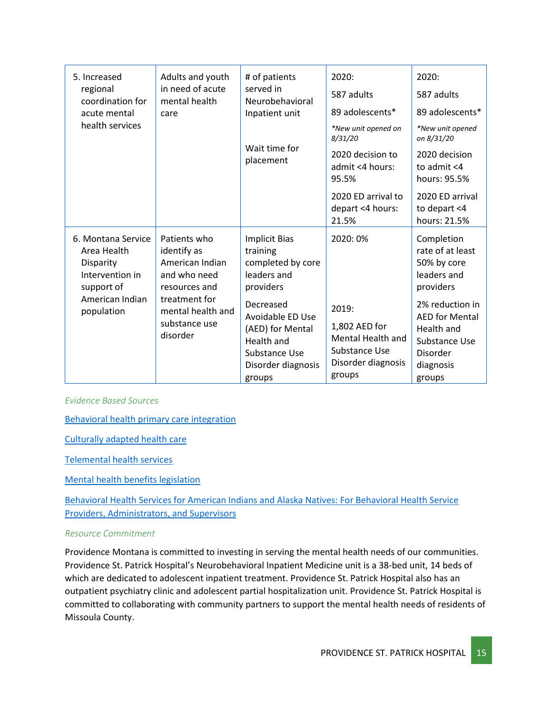| 5. Increased<br>regional<br>coordination for<br>acute mental<br>care<br>health services                          | Adults and youth<br>in need of acute<br>mental health                                                                                              | # of patients<br>served in<br>Neurobehavioral<br>Inpatient unit                                                                                                                                              | 2020:<br>587 adults<br>89 adolescents*                                                                         | 2020:<br>587 adults<br>89 adolescents*                                                                                                                                                  |
|------------------------------------------------------------------------------------------------------------------|----------------------------------------------------------------------------------------------------------------------------------------------------|--------------------------------------------------------------------------------------------------------------------------------------------------------------------------------------------------------------|----------------------------------------------------------------------------------------------------------------|-----------------------------------------------------------------------------------------------------------------------------------------------------------------------------------------|
|                                                                                                                  |                                                                                                                                                    | Wait time for<br>placement                                                                                                                                                                                   | *New unit opened on<br>8/31/20<br>2020 decision to<br>admit <4 hours:<br>95.5%                                 | *New unit opened<br>on 8/31/20<br>2020 decision<br>to admit $<$ 4<br>hours: 95.5%                                                                                                       |
|                                                                                                                  |                                                                                                                                                    |                                                                                                                                                                                                              | 2020 ED arrival to<br>depart <4 hours:<br>21.5%                                                                | 2020 ED arrival<br>to depart <4<br>hours: 21.5%                                                                                                                                         |
| 6. Montana Service<br>Area Health<br>Disparity<br>Intervention in<br>support of<br>American Indian<br>population | Patients who<br>identify as<br>American Indian<br>and who need<br>resources and<br>treatment for<br>mental health and<br>substance use<br>disorder | <b>Implicit Bias</b><br>training<br>completed by core<br>leaders and<br>providers<br>Decreased<br>Avoidable ED Use<br>(AED) for Mental<br><b>Health and</b><br>Substance Use<br>Disorder diagnosis<br>groups | 2020:0%<br>2019:<br>1,802 AED for<br><b>Mental Health and</b><br>Substance Use<br>Disorder diagnosis<br>groups | Completion<br>rate of at least<br>50% by core<br>leaders and<br>providers<br>2% reduction in<br><b>AED for Mental</b><br>Health and<br>Substance Use<br>Disorder<br>diagnosis<br>groups |

*Evidence Based Sources*

[Behavioral health primary care integration](https://www.countyhealthrankings.org/take-action-to-improve-health/what-works-for-health/strategies/behavioral-health-primary-care-integration)

[Culturally adapted health care](https://www.countyhealthrankings.org/take-action-to-improve-health/what-works-for-health/strategies/culturally-adapted-health-care)

[Telemental health services](https://www.countyhealthrankings.org/take-action-to-improve-health/what-works-for-health/strategies/telemental-health-services)

[Mental health benefits legislation](https://www.countyhealthrankings.org/take-action-to-improve-health/what-works-for-health/strategies/mental-health-benefits-legislation)

[Behavioral Health Services for American Indians and Alaska Natives: For Behavioral Health Service](https://www.ncbi.nlm.nih.gov/books/NBK539586/)  [Providers, Administrators, and Supervisors](https://www.ncbi.nlm.nih.gov/books/NBK539586/)

### *Resource Commitment*

Providence Montana is committed to investing in serving the mental health needs of our communities. Providence St. Patrick Hospital's Neurobehavioral Inpatient Medicine unit is a 38-bed unit, 14 beds of which are dedicated to adolescent inpatient treatment. Providence St. Patrick Hospital also has an outpatient psychiatry clinic and adolescent partial hospitalization unit. Providence St. Patrick Hospital is committed to collaborating with community partners to support the mental health needs of residents of Missoula County.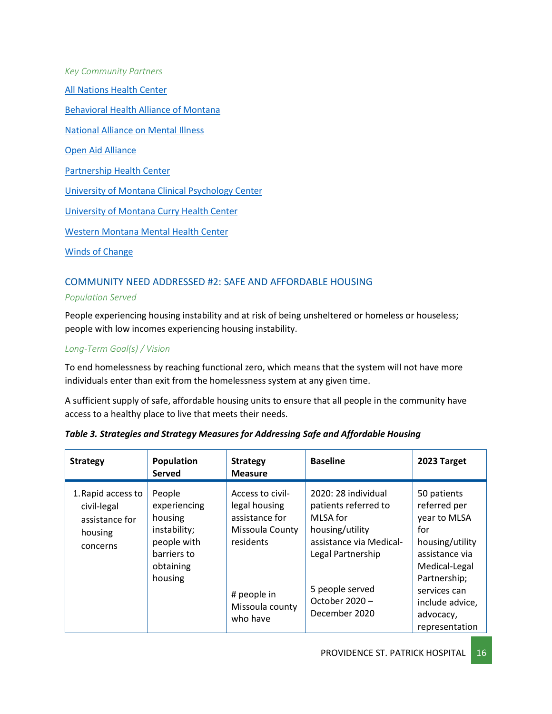*Key Community Partners* [All Nations Health Center](https://www.allnations.health/) [Behavioral Health Alliance of Montana](https://montanabehavioralhealth.org/) [National Alliance on Mental Illness](https://namimissoula.org/) [Open Aid Alliance](https://www.openaidalliance.org/) [Partnership Health Center](https://www.partnershiphealthcenter.com/) [University of Montana Clinical Psychology Center](http://hs.umt.edu/cpc/) [University of Montana Curry Health Center](http://www.umt.edu/curry-health-center/) [Western Montana Mental Health Center](https://www.wmmhc.org/) [Winds of Change](https://wellnessmt.com/)

## COMMUNITY NEED ADDRESSED #2: SAFE AND AFFORDABLE HOUSING

### *Population Served*

People experiencing housing instability and at risk of being unsheltered or homeless or houseless; people with low incomes experiencing housing instability.

## *Long-Term Goal(s) / Vision*

To end homelessness by reaching functional zero, which means that the system will not have more individuals enter than exit from the homelessness system at any given time.

A sufficient supply of safe, affordable housing units to ensure that all people in the community have access to a healthy place to live that meets their needs.

| <b>Strategy</b>                                                            | Population<br><b>Served</b>                                                                             | <b>Strategy</b><br><b>Measure</b>                                                                                                 | <b>Baseline</b>                                                                                                                                                                 | 2023 Target                                                                                                                                                                                |
|----------------------------------------------------------------------------|---------------------------------------------------------------------------------------------------------|-----------------------------------------------------------------------------------------------------------------------------------|---------------------------------------------------------------------------------------------------------------------------------------------------------------------------------|--------------------------------------------------------------------------------------------------------------------------------------------------------------------------------------------|
| 1. Rapid access to<br>civil-legal<br>assistance for<br>housing<br>concerns | People<br>experiencing<br>housing<br>instability;<br>people with<br>barriers to<br>obtaining<br>housing | Access to civil-<br>legal housing<br>assistance for<br>Missoula County<br>residents<br># people in<br>Missoula county<br>who have | 2020: 28 individual<br>patients referred to<br>MLSA for<br>housing/utility<br>assistance via Medical-<br>Legal Partnership<br>5 people served<br>October 2020-<br>December 2020 | 50 patients<br>referred per<br>year to MLSA<br>for<br>housing/utility<br>assistance via<br>Medical-Legal<br>Partnership;<br>services can<br>include advice,<br>advocacy,<br>representation |

### *Table 3. Strategies and Strategy Measures for Addressing Safe and Affordable Housing*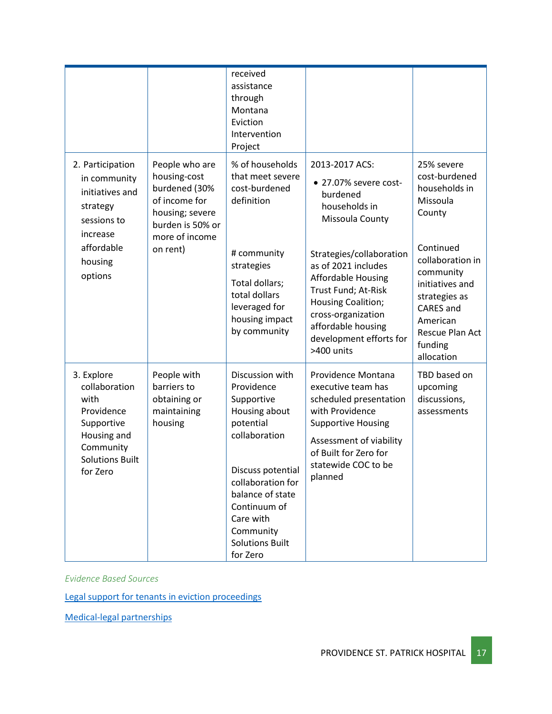|                                                                                                                                   |                                                                                                                                       | received<br>assistance<br>through<br>Montana<br>Eviction<br>Intervention<br>Project                                                                                                                                                      |                                                                                                                                                                                                                |                                                                                                                                                            |
|-----------------------------------------------------------------------------------------------------------------------------------|---------------------------------------------------------------------------------------------------------------------------------------|------------------------------------------------------------------------------------------------------------------------------------------------------------------------------------------------------------------------------------------|----------------------------------------------------------------------------------------------------------------------------------------------------------------------------------------------------------------|------------------------------------------------------------------------------------------------------------------------------------------------------------|
| 2. Participation<br>in community<br>initiatives and<br>strategy<br>sessions to<br>increase<br>affordable<br>housing<br>options    | People who are<br>housing-cost<br>burdened (30%<br>of income for<br>housing; severe<br>burden is 50% or<br>more of income<br>on rent) | % of households<br>that meet severe<br>cost-burdened<br>definition                                                                                                                                                                       | 2013-2017 ACS:<br>· 27.07% severe cost-<br>burdened<br>households in<br>Missoula County                                                                                                                        | 25% severe<br>cost-burdened<br>households in<br>Missoula<br>County                                                                                         |
|                                                                                                                                   |                                                                                                                                       | # community<br>strategies<br>Total dollars;<br>total dollars<br>leveraged for<br>housing impact<br>by community                                                                                                                          | Strategies/collaboration<br>as of 2021 includes<br><b>Affordable Housing</b><br>Trust Fund; At-Risk<br>Housing Coalition;<br>cross-organization<br>affordable housing<br>development efforts for<br>>400 units | Continued<br>collaboration in<br>community<br>initiatives and<br>strategies as<br><b>CARES</b> and<br>American<br>Rescue Plan Act<br>funding<br>allocation |
| 3. Explore<br>collaboration<br>with<br>Providence<br>Supportive<br>Housing and<br>Community<br><b>Solutions Built</b><br>for Zero | People with<br>barriers to<br>obtaining or<br>maintaining<br>housing                                                                  | Discussion with<br>Providence<br>Supportive<br>Housing about<br>potential<br>collaboration<br>Discuss potential<br>collaboration for<br>balance of state<br>Continuum of<br>Care with<br>Community<br><b>Solutions Built</b><br>for Zero | Providence Montana<br>executive team has<br>scheduled presentation<br>with Providence<br><b>Supportive Housing</b><br>Assessment of viability<br>of Built for Zero for<br>statewide COC to be<br>planned       | TBD based on<br>upcoming<br>discussions,<br>assessments                                                                                                    |

*Evidence Based Sources*

[Legal support for tenants in eviction proceedings](https://www.countyhealthrankings.org/take-action-to-improve-health/what-works-for-health/strategies/legal-support-for-tenants-in-eviction-proceedings)

[Medical-legal partnerships](https://www.countyhealthrankings.org/take-action-to-improve-health/what-works-for-health/strategies/medical-legal-partnerships)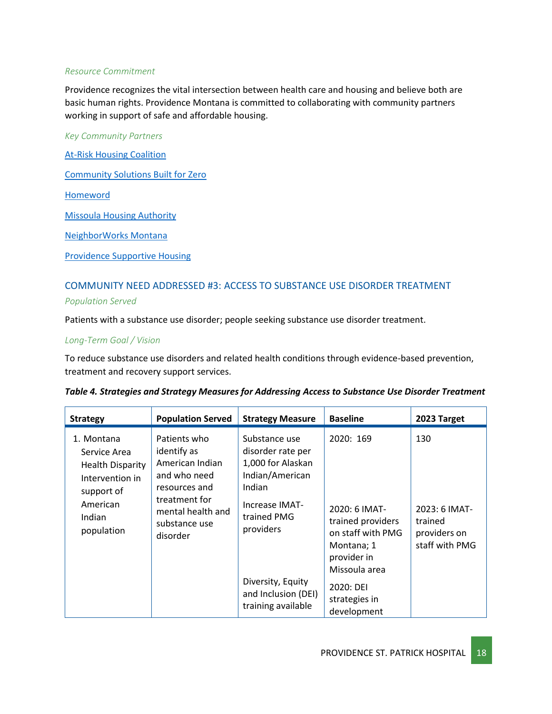#### *Resource Commitment*

Providence recognizes the vital intersection between [health care and housing](https://www.providence.org/lp/housing-is-health) and believe both are basic [human rights.](http://future.psjhealth.org/health-is-a-human-right) Providence Montana is committed to collaborating with community partners working in support of safe and affordable housing.

*Key Community Partners*

[At-Risk Housing Coalition](https://www.ci.missoula.mt.us/2611/At-Risk-Housing-Coalition-ARHC)

[Community Solutions Built for Zero](https://community.solutions/)

[Homeword](https://homeword.org/)

[Missoula Housing Authority](https://missoulahousing.org/)

[NeighborWorks Montana](https://www.nwmt.org/)

[Providence Supportive Housing](https://www.providencesupportivehousing.org/)

## COMMUNITY NEED ADDRESSED #3: ACCESS TO SUBSTANCE USE DISORDER TREATMENT

*Population Served*

Patients with a substance use disorder; people seeking substance use disorder treatment.

#### *Long-Term Goal / Vision*

To reduce substance use disorders and related health conditions through evidence-based prevention, treatment and recovery support services.

|  |  |  | Table 4. Strategies and Strategy Measures for Addressing Access to Substance Use Disorder Treatment |  |
|--|--|--|-----------------------------------------------------------------------------------------------------|--|
|  |  |  |                                                                                                     |  |

| <b>Strategy</b>                                                                                                            | <b>Population Served</b>                                                                                                                           | <b>Strategy Measure</b>                                                                                                            | <b>Baseline</b>                                                                                                    | 2023 Target                                                       |
|----------------------------------------------------------------------------------------------------------------------------|----------------------------------------------------------------------------------------------------------------------------------------------------|------------------------------------------------------------------------------------------------------------------------------------|--------------------------------------------------------------------------------------------------------------------|-------------------------------------------------------------------|
| 1. Montana<br>Service Area<br><b>Health Disparity</b><br>Intervention in<br>support of<br>American<br>Indian<br>population | Patients who<br>identify as<br>American Indian<br>and who need<br>resources and<br>treatment for<br>mental health and<br>substance use<br>disorder | Substance use<br>disorder rate per<br>1,000 for Alaskan<br>Indian/American<br>Indian<br>Increase IMAT-<br>trained PMG<br>providers | 2020: 169<br>2020: 6 IMAT-<br>trained providers<br>on staff with PMG<br>Montana; 1<br>provider in<br>Missoula area | 130<br>2023: 6 IMAT-<br>trained<br>providers on<br>staff with PMG |
|                                                                                                                            |                                                                                                                                                    | Diversity, Equity<br>and Inclusion (DEI)<br>training available                                                                     | 2020: DEI<br>strategies in<br>development                                                                          |                                                                   |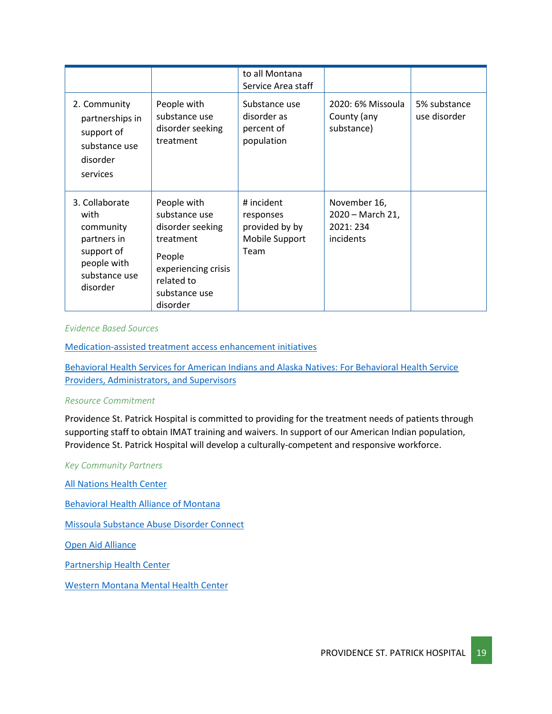|                                                                                                              |                                                                                                                                           | to all Montana<br>Service Area staff                                |                                                            |                              |
|--------------------------------------------------------------------------------------------------------------|-------------------------------------------------------------------------------------------------------------------------------------------|---------------------------------------------------------------------|------------------------------------------------------------|------------------------------|
| 2. Community<br>partnerships in<br>support of<br>substance use<br>disorder<br>services                       | People with<br>substance use<br>disorder seeking<br>treatment                                                                             | Substance use<br>disorder as<br>percent of<br>population            | 2020: 6% Missoula<br>County (any<br>substance)             | 5% substance<br>use disorder |
| 3. Collaborate<br>with<br>community<br>partners in<br>support of<br>people with<br>substance use<br>disorder | People with<br>substance use<br>disorder seeking<br>treatment<br>People<br>experiencing crisis<br>related to<br>substance use<br>disorder | # incident<br>responses<br>provided by by<br>Mobile Support<br>Team | November 16,<br>2020 - March 21,<br>2021: 234<br>incidents |                              |

#### *Evidence Based Sources*

[Medication-assisted treatment access enhancement initiatives](https://www.countyhealthrankings.org/take-action-to-improve-health/what-works-for-health/strategies/medication-assisted-treatment-access-enhancement-initiatives)

[Behavioral Health Services for American Indians and Alaska Natives: For Behavioral Health Service](https://www.ncbi.nlm.nih.gov/books/NBK539586/)  [Providers, Administrators, and Supervisors](https://www.ncbi.nlm.nih.gov/books/NBK539586/)

#### *Resource Commitment*

Providence St. Patrick Hospital is committed to providing for the treatment needs of patients through supporting staff to obtain IMAT training and waivers. In support of our American Indian population, Providence St. Patrick Hospital will develop a culturally-competent and responsive workforce.

#### *Key Community Partners*

[All Nations Health Center](https://www.allnations.health/)

[Behavioral Health Alliance of Montana](https://montanabehavioralhealth.org/)

[Missoula Substance Abuse Disorder Connect](https://missoulaunitedway.org/missoula-substance-abuse-connect)

[Open Aid Alliance](https://www.openaidalliance.org/)

[Partnership Health Center](https://www.partnershiphealthcenter.com/)

[Western Montana Mental Health Center](https://www.wmmhc.org/)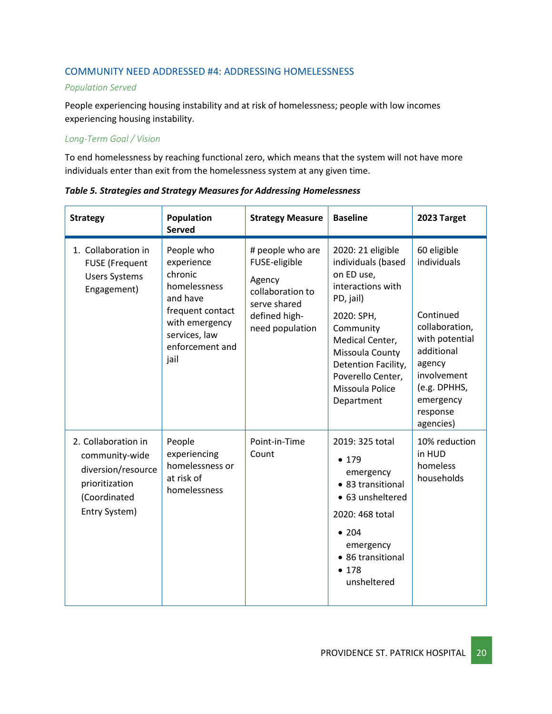## COMMUNITY NEED ADDRESSED #4: ADDRESSING HOMELESSNESS

### *Population Served*

People experiencing housing instability and at risk of homelessness; people with low incomes experiencing housing instability.

### *Long-Term Goal / Vision*

To end homelessness by reaching functional zero, which means that the system will not have more individuals enter than exit from the homelessness system at any given time.

| <b>Strategy</b>                                                                                                | Population<br><b>Served</b>                                                                                                                       | <b>Strategy Measure</b>                                                                                             | <b>Baseline</b>                                                                                                                                                                                                                       | 2023 Target                                                                                                                                                              |
|----------------------------------------------------------------------------------------------------------------|---------------------------------------------------------------------------------------------------------------------------------------------------|---------------------------------------------------------------------------------------------------------------------|---------------------------------------------------------------------------------------------------------------------------------------------------------------------------------------------------------------------------------------|--------------------------------------------------------------------------------------------------------------------------------------------------------------------------|
| 1. Collaboration in<br><b>FUSE</b> (Frequent<br><b>Users Systems</b><br>Engagement)                            | People who<br>experience<br>chronic<br>homelessness<br>and have<br>frequent contact<br>with emergency<br>services, law<br>enforcement and<br>jail | # people who are<br>FUSE-eligible<br>Agency<br>collaboration to<br>serve shared<br>defined high-<br>need population | 2020: 21 eligible<br>individuals (based<br>on ED use,<br>interactions with<br>PD, jail)<br>2020: SPH,<br>Community<br>Medical Center,<br>Missoula County<br>Detention Facility,<br>Poverello Center,<br>Missoula Police<br>Department | 60 eligible<br>individuals<br>Continued<br>collaboration,<br>with potential<br>additional<br>agency<br>involvement<br>(e.g. DPHHS,<br>emergency<br>response<br>agencies) |
| 2. Collaboration in<br>community-wide<br>diversion/resource<br>prioritization<br>(Coordinated<br>Entry System) | People<br>experiencing<br>homelessness or<br>at risk of<br>homelessness                                                                           | Point-in-Time<br>Count                                                                                              | 2019: 325 total<br>• 179<br>emergency<br>• 83 transitional<br>• 63 unsheltered<br>2020: 468 total<br>• 204<br>emergency<br>• 86 transitional<br>• 178<br>unsheltered                                                                  | 10% reduction<br>in HUD<br>homeless<br>households                                                                                                                        |

*Table 5. Strategies and Strategy Measures for Addressing Homelessness*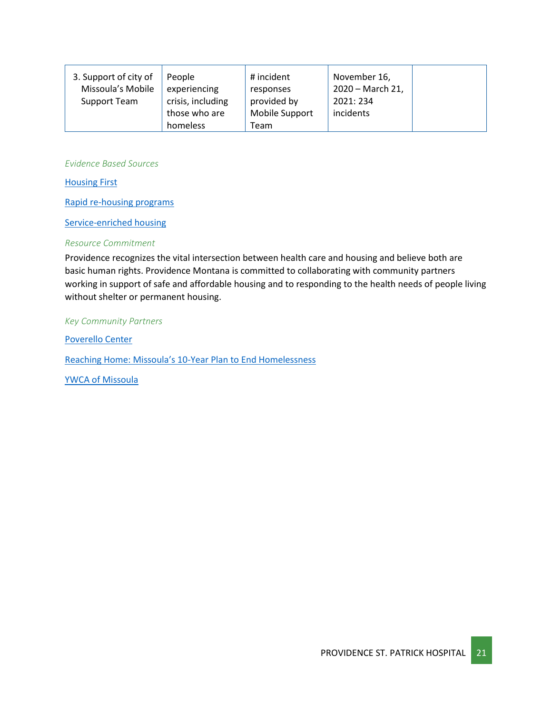| 3. Support of city of | People            | # incident     | November 16,     |  |
|-----------------------|-------------------|----------------|------------------|--|
| Missoula's Mobile     | experiencing      | responses      | 2020 - March 21, |  |
| Support Team          | crisis, including | provided by    | 2021: 234        |  |
|                       | those who are     | Mobile Support | incidents        |  |
|                       | homeless          | Team           |                  |  |

*Evidence Based Sources*

[Housing First](https://www.countyhealthrankings.org/take-action-to-improve-health/what-works-for-health/strategies/housing-first)

[Rapid re-housing programs](https://www.countyhealthrankings.org/take-action-to-improve-health/what-works-for-health/strategies/rapid-re-housing-programs)

[Service-enriched housing](https://www.countyhealthrankings.org/take-action-to-improve-health/what-works-for-health/strategies/service-enriched-housing)

### *Resource Commitment*

Providence recognizes the vital intersection between [health care and housing](https://www.providence.org/lp/housing-is-health) and believe both are basic [human rights.](http://future.psjhealth.org/health-is-a-human-right) Providence Montana is committed to collaborating with community partners working in support of safe and affordable housing and to responding to the health needs of people living without shelter or permanent housing.

*Key Community Partners*

[Poverello Center](https://www.thepoverellocenter.org/) Reaching Home: Missoula's 10[-Year Plan to End Homelessness](https://www.ci.missoula.mt.us/2124/Homeless-Initiatives)

[YWCA of Missoula](https://ywcaofmissoula.org/)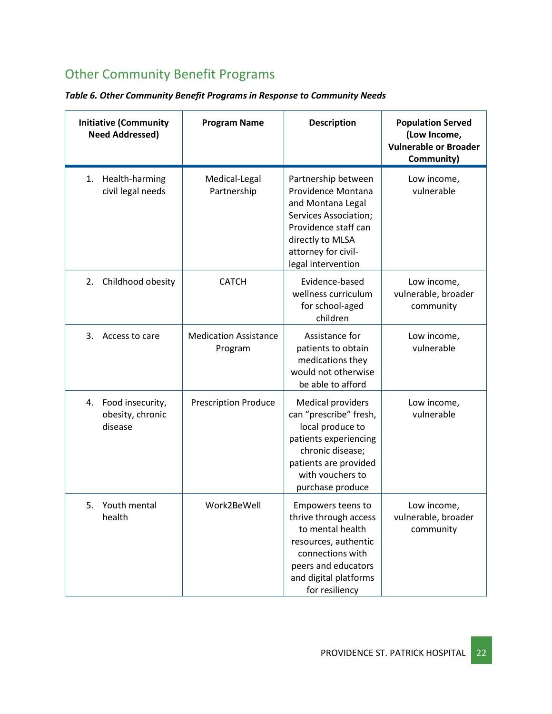## <span id="page-21-0"></span>Other Community Benefit Programs

|  |  |  |  |  | Table 6. Other Community Benefit Programs in Response to Community Needs |  |
|--|--|--|--|--|--------------------------------------------------------------------------|--|
|--|--|--|--|--|--------------------------------------------------------------------------|--|

| <b>Initiative (Community</b><br><b>Need Addressed)</b> | <b>Program Name</b>                     | <b>Description</b>                                                                                                                                                                   | <b>Population Served</b><br>(Low Income,<br><b>Vulnerable or Broader</b><br>Community) |
|--------------------------------------------------------|-----------------------------------------|--------------------------------------------------------------------------------------------------------------------------------------------------------------------------------------|----------------------------------------------------------------------------------------|
| Health-harming<br>1.<br>civil legal needs              | Medical-Legal<br>Partnership            | Partnership between<br>Providence Montana<br>and Montana Legal<br>Services Association;<br>Providence staff can<br>directly to MLSA<br>attorney for civil-<br>legal intervention     | Low income,<br>vulnerable                                                              |
| Childhood obesity<br>2.                                | <b>CATCH</b>                            | Evidence-based<br>wellness curriculum<br>for school-aged<br>children                                                                                                                 | Low income,<br>vulnerable, broader<br>community                                        |
| Access to care<br>3.                                   | <b>Medication Assistance</b><br>Program | Assistance for<br>patients to obtain<br>medications they<br>would not otherwise<br>be able to afford                                                                                 | Low income,<br>vulnerable                                                              |
| 4. Food insecurity,<br>obesity, chronic<br>disease     | <b>Prescription Produce</b>             | <b>Medical providers</b><br>can "prescribe" fresh,<br>local produce to<br>patients experiencing<br>chronic disease;<br>patients are provided<br>with vouchers to<br>purchase produce | Low income,<br>vulnerable                                                              |
| Youth mental<br>5.<br>health                           | Work2BeWell                             | Empowers teens to<br>thrive through access<br>to mental health<br>resources, authentic<br>connections with<br>peers and educators<br>and digital platforms<br>for resiliency         | Low income,<br>vulnerable, broader<br>community                                        |